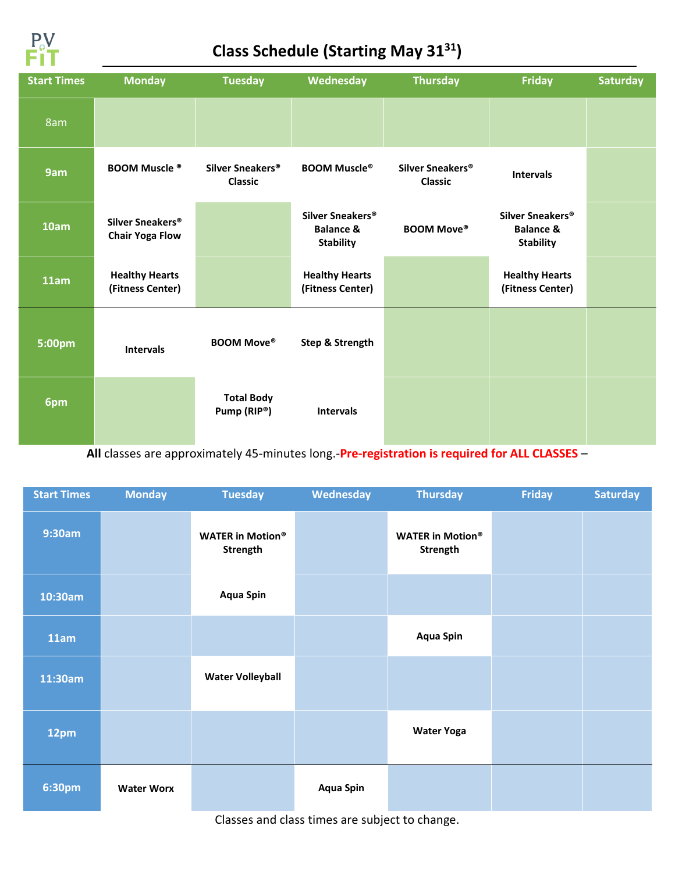

#### **Class Schedule (Starting May 3131)**

| <b>Start Times</b> | <b>Monday</b>                                          | <b>Tuesday</b>                                 | <b>Wednesday</b>                                                         | <b>Thursday</b>                                | <b>Friday</b>                                                            | <b>Saturday</b> |
|--------------------|--------------------------------------------------------|------------------------------------------------|--------------------------------------------------------------------------|------------------------------------------------|--------------------------------------------------------------------------|-----------------|
| 8am                |                                                        |                                                |                                                                          |                                                |                                                                          |                 |
| 9am                | <b>BOOM Muscle ®</b>                                   | Silver Sneakers <sup>®</sup><br><b>Classic</b> | <b>BOOM Muscle®</b>                                                      | Silver Sneakers <sup>®</sup><br><b>Classic</b> | <b>Intervals</b>                                                         |                 |
| 10am               | Silver Sneakers <sup>®</sup><br><b>Chair Yoga Flow</b> |                                                | Silver Sneakers <sup>®</sup><br><b>Balance &amp;</b><br><b>Stability</b> | <b>BOOM Move®</b>                              | Silver Sneakers <sup>®</sup><br><b>Balance &amp;</b><br><b>Stability</b> |                 |
| 11am               | <b>Healthy Hearts</b><br>(Fitness Center)              |                                                | <b>Healthy Hearts</b><br>(Fitness Center)                                |                                                | <b>Healthy Hearts</b><br>(Fitness Center)                                |                 |
| 5:00pm             | <b>Intervals</b>                                       | <b>BOOM Move®</b>                              | Step & Strength                                                          |                                                |                                                                          |                 |
| 6pm                |                                                        | <b>Total Body</b><br>Pump (RIP®)               | <b>Intervals</b>                                                         |                                                |                                                                          |                 |

**All** classes are approximately 45-minutes long.-**Pre-registration is required for ALL CLASSES** –

| <b>Start Times</b> | <b>Monday</b>     | <b>Tuesday</b>                      | Wednesday        | <b>Thursday</b>                     | <b>Friday</b> | <b>Saturday</b> |
|--------------------|-------------------|-------------------------------------|------------------|-------------------------------------|---------------|-----------------|
| 9:30am             |                   | <b>WATER in Motion®</b><br>Strength |                  | <b>WATER in Motion®</b><br>Strength |               |                 |
| 10:30am            |                   | <b>Aqua Spin</b>                    |                  |                                     |               |                 |
| 11am               |                   |                                     |                  | <b>Aqua Spin</b>                    |               |                 |
| 11:30am            |                   | <b>Water Volleyball</b>             |                  |                                     |               |                 |
| 12pm               |                   |                                     |                  | <b>Water Yoga</b>                   |               |                 |
| 6:30pm             | <b>Water Worx</b> |                                     | <b>Aqua Spin</b> |                                     |               |                 |

Classes and class times are subject to change.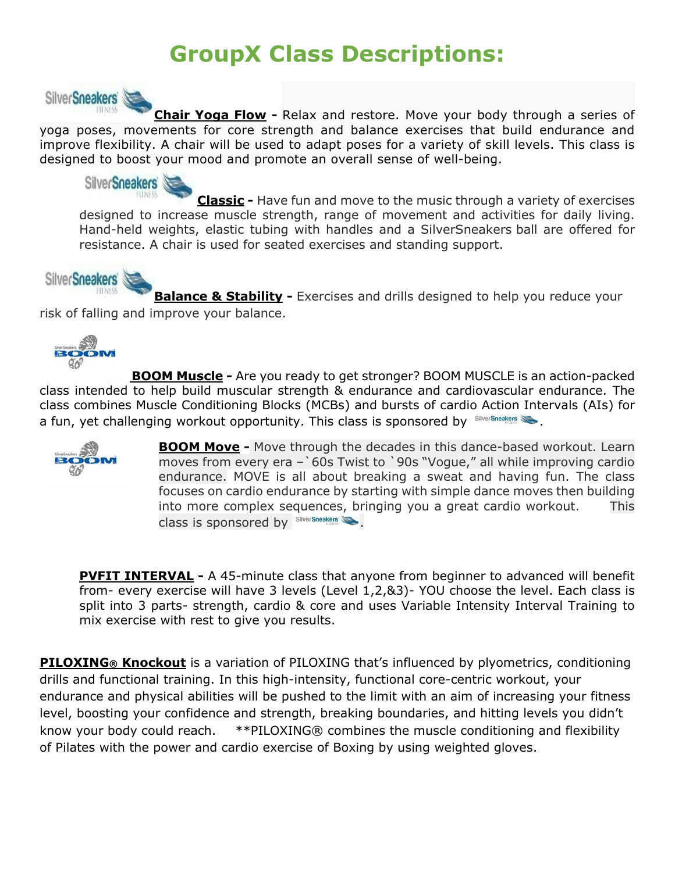## **GroupX Class Descriptions:**



**Chair Yoga Flow -** Relax and restore. Move your body through a series of yoga poses, movements for core strength and balance exercises that build endurance and improve flexibility. A chair will be used to adapt poses for a variety of skill levels. This class is designed to boost your mood and promote an overall sense of well-being.



**Classic -** Have fun and move to the music through a variety of exercises designed to increase muscle strength, range of movement and activities for daily living. Hand-held weights, elastic tubing with handles and a SilverSneakers ball are offered for resistance. A chair is used for seated exercises and standing support.

### SilverSneakers

**Balance & Stability -** Exercises and drills designed to help you reduce your risk of falling and improve your balance.



**BOOM Muscle -** Are you ready to get stronger? BOOM MUSCLE is an action-packed class intended to help build muscular strength & endurance and cardiovascular endurance. The class combines Muscle Conditioning Blocks (MCBs) and bursts of cardio Action Intervals (AIs) for a fun, yet challenging workout opportunity. This class is sponsored by  $\frac{S||\mathbf{V}||}{S||\mathbf{V}||}$ 



**BOOM Move -** Move through the decades in this dance-based workout. Learn moves from every era –`60s Twist to `90s "Vogue," all while improving cardio endurance. MOVE is all about breaking a sweat and having fun. The class focuses on cardio endurance by starting with simple dance moves then building into more complex sequences, bringing you a great cardio workout. This class is sponsored by SilverSneakers

**PVFIT INTERVAL -** A 45-minute class that anyone from beginner to advanced will benefit from- every exercise will have 3 levels (Level 1,2,&3)- YOU choose the level. Each class is split into 3 parts- strength, cardio & core and uses Variable Intensity Interval Training to mix exercise with rest to give you results.

**PILOXING® Knockout** is a variation of PILOXING that's influenced by plyometrics, conditioning drills and functional training. In this high-intensity, functional core-centric workout, your endurance and physical abilities will be pushed to the limit with an aim of increasing your fitness level, boosting your confidence and strength, breaking boundaries, and hitting levels you didn't know your body could reach.\*\*PILOXING® combines the muscle conditioning and flexibility of Pilates with the power and cardio exercise of Boxing by using weighted gloves.